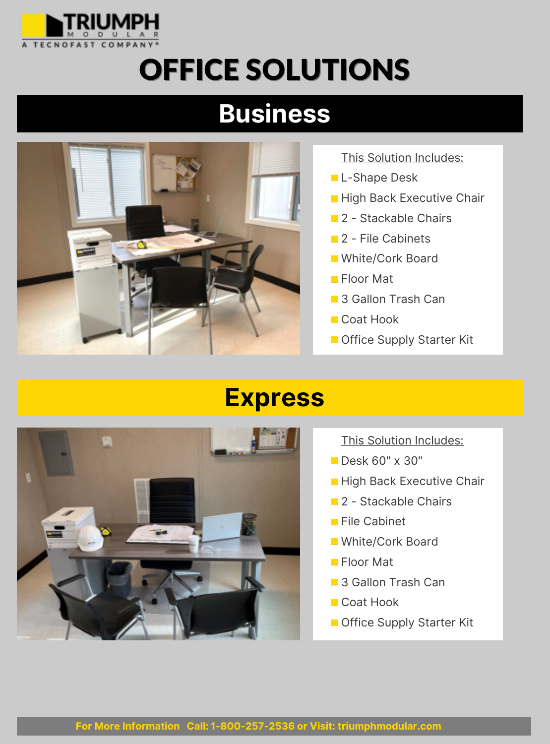

## OFFICE SOLUTIONS

## **Business**



This Solution Includes:

- L-Shape Desk
- **High Back Executive Chair**
- **2** Stackable Chairs
- 2 File Cabinets
- **White/Cork Board**
- **Floor Mat**
- 3 Gallon Trash Can
- Coat Hook
- **Office Supply Starter Kit**



- This Solution Includes:
- **Desk 60" x 30"**
- **High Back Executive Chair**
- **2** Stackable Chairs
- **File Cabinet**
- **White/Cork Board**
- **Floor Mat**
- 3 Gallon Trash Can
- Coat Hook
- **Office Supply Starter Kit**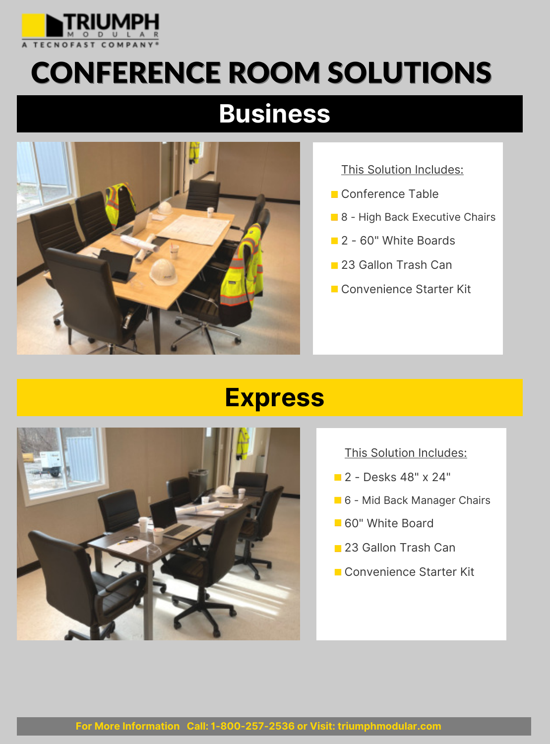

# CONFERENCE ROOM SOLUTIONS

## **Business**



This Solution Includes:

- Conference Table
- 8 High Back Executive Chairs
- **2** 60" White Boards
- **23 Gallon Trash Can**
- Convenience Starter Kit

#### **Express**



#### This Solution Includes:

- **2** Desks 48" x 24"
- 6 Mid Back Manager Chairs
- 60" White Board
- 23 Gallon Trash Can
- Convenience Starter Kit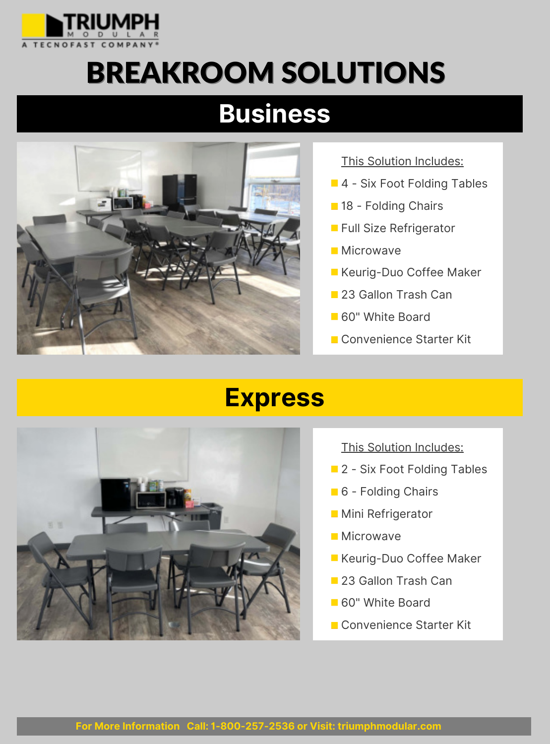

# BREAKROOM SOLUTIONS

## **Business**



This Solution Includes:

- 4 Six Foot Folding Tables
- **18 Folding Chairs**
- **Full Size Refrigerator**
- **Microwave**
- **Keurig-Duo Coffee Maker**
- **23 Gallon Trash Can**
- 60" White Board
- Convenience Starter Kit



- This Solution Includes:
- **2** Six Foot Folding Tables
- 6 Folding Chairs
- **Mini Refrigerator**
- **Microwave**
- **Keurig-Duo Coffee Maker**
- **23 Gallon Trash Can**
- 60" White Board
- Convenience Starter Kit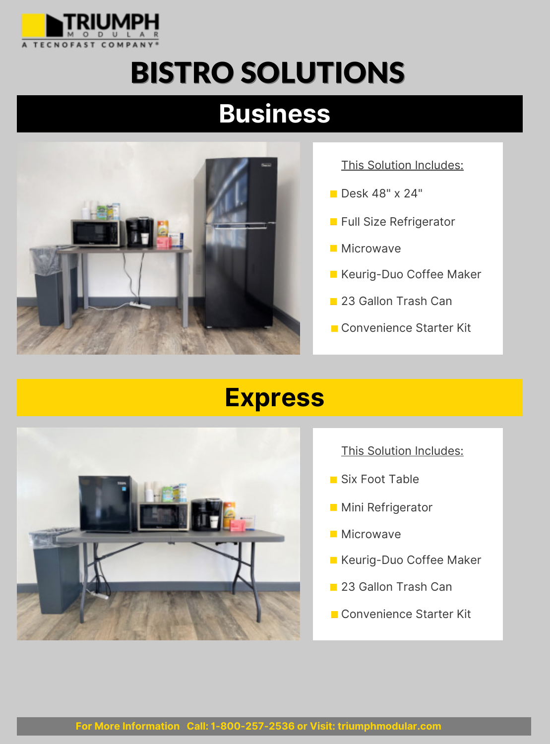

# BISTRO SOLUTIONS

## **Business**



This Solution Includes:

- **Desk 48" x 24"**
- **Full Size Refrigerator**
- **Microwave**
- **Keurig-Duo Coffee Maker**
- 23 Gallon Trash Can
- Convenience Starter Kit



- This Solution Includes:
- Six Foot Table
- **Mini Refrigerator**
- **Microwave**
- **Keurig-Duo Coffee Maker**
- 23 Gallon Trash Can
- Convenience Starter Kit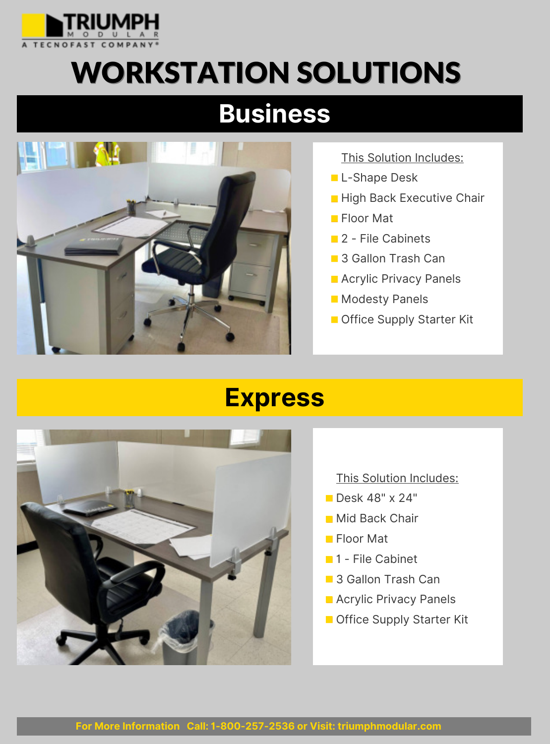

# WORKSTATION SOLUTIONS

## **Business**



This Solution Includes:

- L-Shape Desk
- **High Back Executive Chair**
- **Floor Mat**
- 2 File Cabinets
- 3 Gallon Trash Can
- **Acrylic Privacy Panels**
- **Modesty Panels**
- **Office Supply Starter Kit**



- This Solution Includes:
- **Desk 48" x 24"**
- **Mid Back Chair**
- **Floor Mat**
- **1** File Cabinet
- 3 Gallon Trash Can
- **Acrylic Privacy Panels**
- **Office Supply Starter Kit**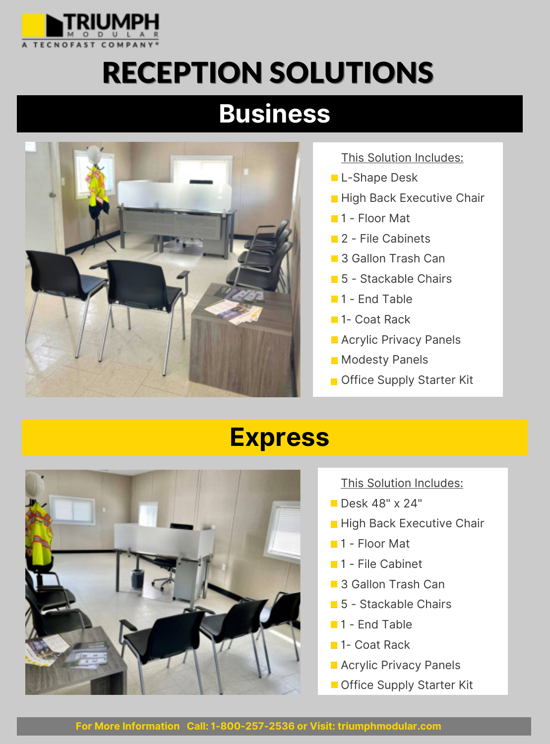

# RECEPTION SOLUTIONS

## **Business**



This Solution Includes:

- L-Shape Desk
- **High Back Executive Chair**
- **1** Floor Mat
- 2 File Cabinets
- 3 Gallon Trash Can
- 5 Stackable Chairs
- **1** End Table
- 1- Coat Rack
- **Acrylic Privacy Panels**
- **Modesty Panels**
- **Office Supply Starter Kit**

### **Express**



This Solution Includes:

- **Desk 48" x 24"**
- **High Back Executive Chair**
- **1** Floor Mat
- $\blacksquare$  1 File Cabinet
- 3 Gallon Trash Can
- **5** Stackable Chairs
- **1** End Table
- 1- Coat Rack
- **Acrylic Privacy Panels**
- Office Supply Starter Kit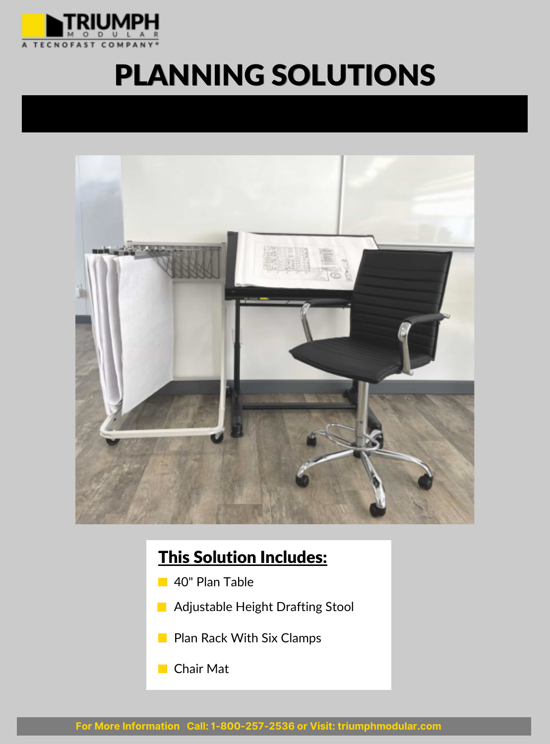

## PLANNING SOLUTIONS



#### This Solution Includes:

- 40" Plan Table  $\mathbb{R}^n$
- Adjustable Height Drafting Stool **The Contract of the Contract of the Contract of the Contract of the Contract of the Contract of the Contract o**
- **Plan Rack With Six Clamps**
- **Chair Mat**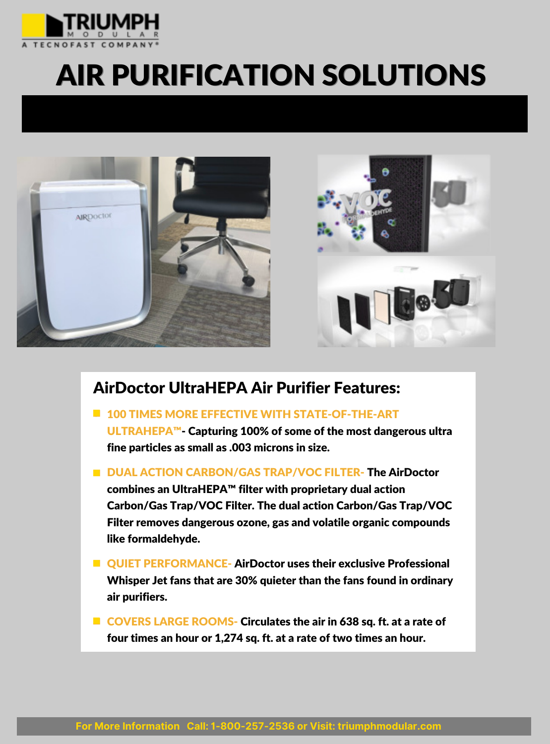

# AIR PURIFICATION SOLUTIONS





#### AirDoctor UltraHEPA Air Purifier Features:

- **100 TIMES MORE EFFECTIVE WITH STATE-OF-THE-ART** ULTRAHEPA™- Capturing 100% of some of the most dangerous ultra fine particles as small as .003 microns in size.
- DUAL ACTION CARBON/GAS TRAP/VOC FILTER- The AirDoctor combines an UltraHEPA™ filter with proprietary dual action Carbon/Gas Trap/VOC Filter. The dual action Carbon/Gas Trap/VOC Filter removes dangerous ozone, gas and volatile organic compounds like formaldehyde.
- **U** OUIET PERFORMANCE- AirDoctor uses their exclusive Professional Whisper Jet fans that are 30% quieter than the fans found in ordinary air purifiers.
- COVERS LARGE ROOMS- Circulates the air in 638 sq. ft. at a rate of four times an hour or 1,274 sq. ft. at a rate of two times an hour.